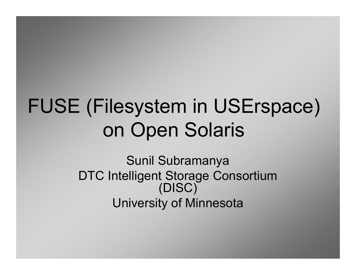# FUSE (Filesystem in USErspace) on Open Solaris

Sunil Subramanya DTC Intelligent Storage Consortium (DISC)University of Minnesota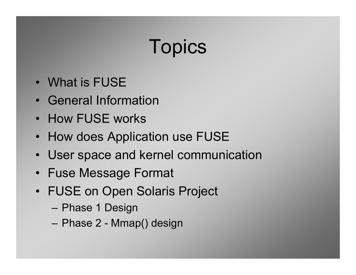# **Topics**

- What is FUSE
- General Information
- How FUSE works
- How does Application use FUSE
- User space and kernel communication
- Fuse Message Format
- FUSE on Open Solaris Project
	- Phase 1 Design
	- Phase 2 Mmap() design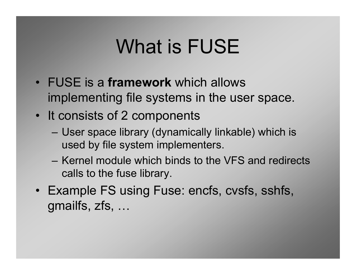# What is FUSE

- FUSE is a framework which allows implementing file systems in the user space.
- It consists of 2 components
	- User space library (dynamically linkable) which is used by file system implementers.
	- Kernel module which binds to the VFS and redirects calls to the fuse library.
- Example FS using Fuse: encfs, cvsfs, sshfs, gmailfs, zfs, …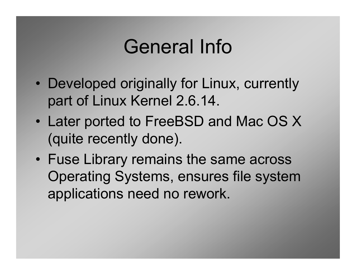# General Info

- $\bullet$ Developed originally for Linux, currently part of Linux Kernel 2.6.14.
- $\bullet$ Later ported to FreeBSD and Mac OS X (quite recently done).
- Fuse Library remains the same across Operating Systems, ensures file system applications need no rework.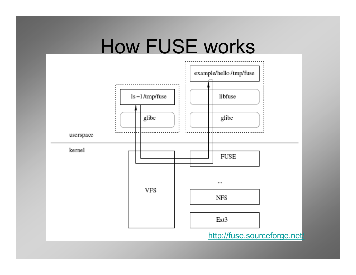#### How FUSE works

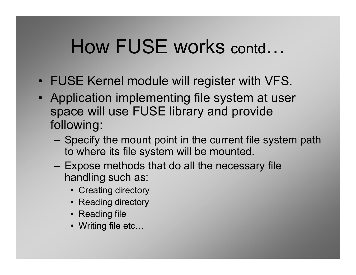#### How FUSE works contd…

- FUSE Kernel module will register with VFS.
- Application implementing file system at user<br>
space will use FLISE library and provide space will use FUSE library and provide following:
	- Specify the mount point in the current file system path<br>to where its file system will be mounted to where its file system will be mounted.
	- Expose methods that do all the necessary file<br>bandling such as: handling such as:
		- Creating directory
		- Reading directory
		- Reading file
		- Writing file etc…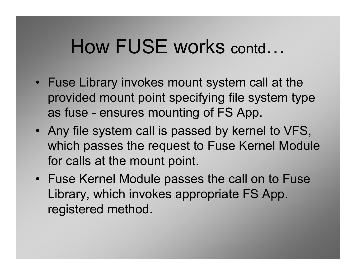#### How FUSE works contd…

- Fuse Library invokes mount system call at the<br>mentional request naint anoaif ing file avatage turn provided mount point specifying file system type as fuse - ensures mounting of FS App.
- Any file system call is passed by kernel to VFS, which passes the request to Fuse Kernel Module for calls at the mount point.
- Fuse Kernel Module passes the call on to Fuse Library, which invokes appropriate FS App. registered method.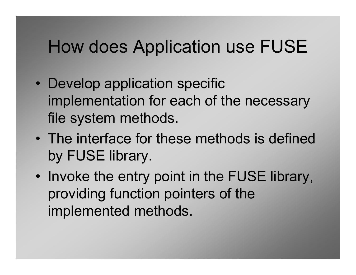#### How does Application use FUSE

- $\bullet$ Develop application specific implementation for each of the necessary file system methods.
- $\bullet$ The interface for these methods is defined by FUSE library.
- $\bullet$ Invoke the entry point in the FUSE library, providing function pointers of the implemented methods.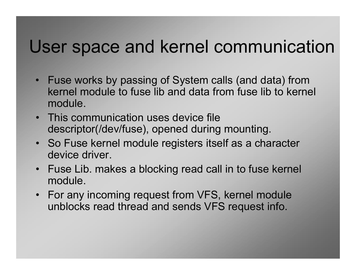#### User space and kernel communication

- Fuse works by passing of System calls (and data) from<br>kernel module to fuse lib and data from fuse lib to kerne kernel module to fuse lib and data from fuse lib to kernel module.
- This communication uses device file<br>descriptor//dov/fuse), apened during descriptor(/dev/fuse), opened during mounting.
- So Fuse kernel module registers itself as a character<br>devise driver device driver.
- Fuse Lib. makes a blocking read call in to fuse kernel module.
- For any incoming request from VFS, kernel module<br>unblocks road throad and sonds VES request info unblocks read thread and sends VFS request info.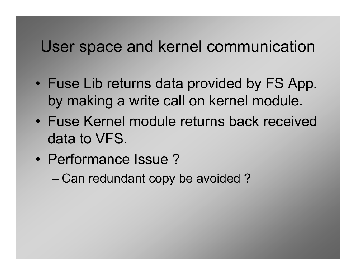#### User space and kernel communication

- $\bullet$ Fuse Lib returns data provided by FS App. by making a write call on kernel module.
- Fuse Kernel module returns back received data to VFS.
- • Performance Issue ?
	- Can redundant copy be avoided ?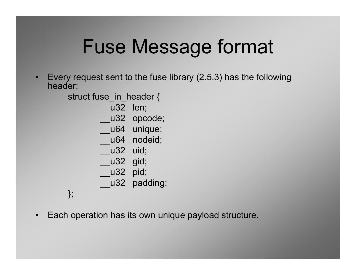# Fuse Message format

• Every request sent to the fuse library (2.5.3) has the following header:

struct fuse\_in\_header {

u32 len;

\_\_u32 opcode;

u64 unique;

u64 nodeid;

\_\_u32 uid;

\_\_u32 gid;

\_\_u32 pid;

\_\_u32 padding;

};

 $\bullet$ Each operation has its own unique payload structure.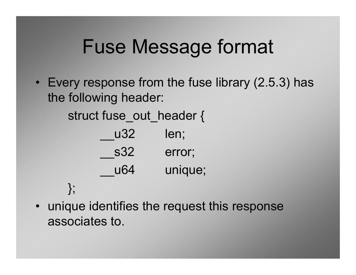# Fuse Message format

• Every response from the fuse library (2.5.3) has the following header:

struct fuse out header {

| u32 | len;    |
|-----|---------|
| s32 | error;  |
| u64 | unique; |

};

• unique identifies the request this response associates to.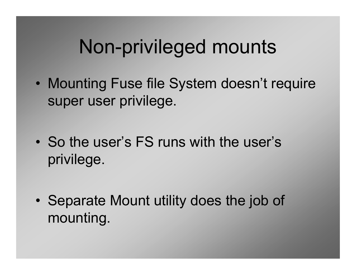# Non-privileged mounts

- $\bullet$ Mounting Fuse file System doesn't require super user privilege.
- $\bullet$ So the user's FS runs with the user's privilege.
- $\bullet$ Separate Mount utility does the job of mounting.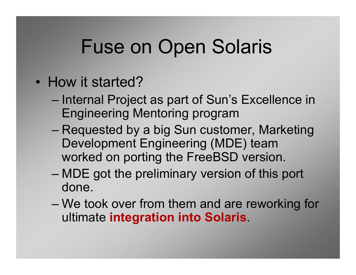# Fuse on Open Solaris

- $\bullet$ How it started?
	- Internal Project as part of Sun's Excellence in Engineering Mentoring program
	- $-$  RANILASTAN NV 3 NIN SIIN CLISTO Requested by a big Sun customer, Marketing<br>Development Engineering (MDE) toom Development Engineering (MDE) team worked on porting the FreeBSD version.
	- MDE got the preliminary version of this port done.
	- We took over from them and are reworking for<br>whimsto integration into Solaria ultimate integration into Solaris.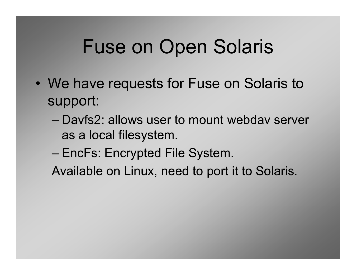# Fuse on Open Solaris

- $\bullet$ We have requests for Fuse on Solaris to support:
	- Davfs2: allows user to mount webdav server as a local filesystem.
	- EncFs: Encrypted File System.
	- Available on Linux, need to port it to Solaris.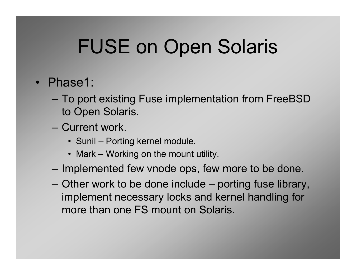# FUSE on Open Solaris

- Phase1:
	- To port existing Fuse implementation from FreeBSD to Open Solaris.
	- Current work.
		- Sunil Porting kernel module.
		- Mark Working on the mount utility.
	- Implemented few vnode ops, few more to be done.
	- Other work to be done include porting fuse library, implement necessary locks and kernel handling for more than one FS mount on Solaris.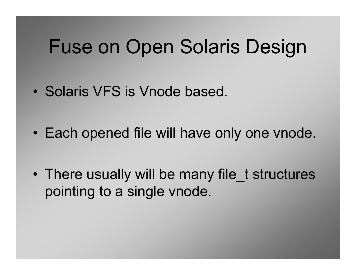#### Fuse on Open Solaris Design

- $\bullet$ Solaris VFS is Vnode based.
- $\bullet$ Each opened file will have only one vnode.
- $\bullet$ There usually will be many file\_t structures pointing to a single vnode.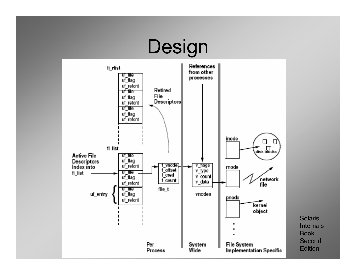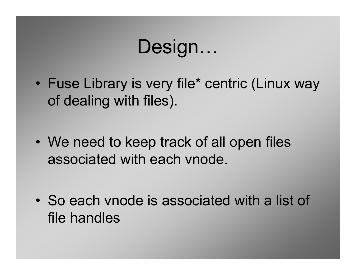# Design…

- $\bullet$ Fuse Library is very file\* centric (Linux way of dealing with files).
- $\bullet$ We need to keep track of all open files associated with each vnode.
- $\bullet$ So each vnode is associated with a list of file handles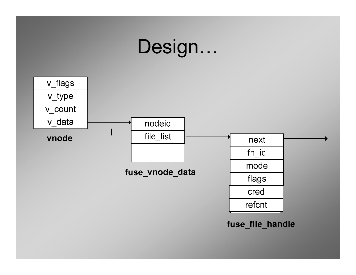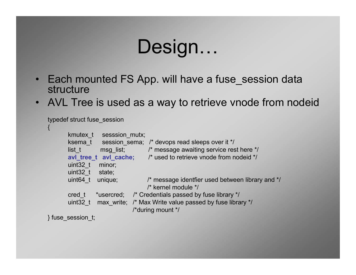# Design…

- Each mounted FS App. will have a fuse\_session data structure
- AVL Tree is used as a way to retrieve vnode from nodeid •

```
typedef struct fuse_session
{kmutex t sesssion mutx;
        ksema_t session_sema; /* devops read sleeps over it */<br>list t msq list; <br> /* message awaiting service res
        list_t msg_list; \frac{1}{2} /* message awaiting service rest here */<br>
avi_tree_t avi_cache; \frac{1}{2} /* used to retrieve vnode from nodeid */
                                         \mu^* used to retrieve vnode from nodeid */
        uint32_t minor; uint32 t state;
        uint64 t unique; \frac{1}{2} /* message identfier used between library and */
                                           /* kernel module */cred_t *usercred; /* Credentials passed by fuse library */
        uint32 t max write; /* Max Write value passed by fuse library */
                                     /*during mount */} fuse_session_t;
```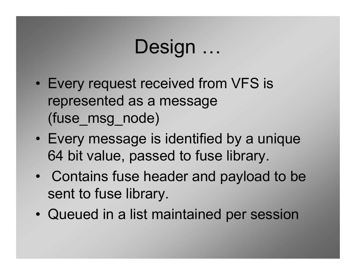# Design ...

- $\bullet$ Every request received from VFS is represented as a message (fuse\_msg\_node)
- $\bullet$ Every message is identified by a unique 64 bit value, passed to fuse library.
- $\bullet$ Contains fuse header and payload to be sent to fuse library.
- $\bullet$ Queued in a list maintained per session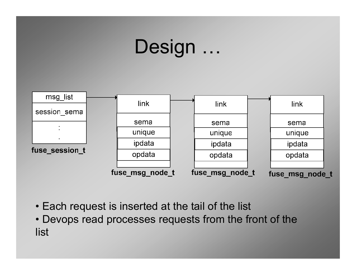# Design …



- Each request is inserted at the tail of the list<br>. Devensing the discorage require to from the fr
- Devops read processes requests from the front of the<br> list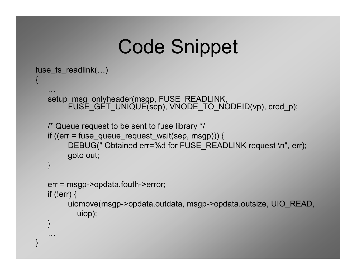# Code Snippet

```
fuse_fs_readlink(…){…
setup_msg_onlyheader(msgp, FUSE_READLINK, 
FUSE_GET_UNIQUE(sep), VNODE_TO_NODEID(vp), cred_p);/* Queue request to be sent to fuse library */if ((err = fuse_queue_request_wait(sep, msgp))) {DEBUG(" Obtained err=%d for FUSE_READLINK request \n", err);
         goto out;
   }err = msgp->opdata.fouth->error;if (!err) {
uiomove(msgp->opdata.outdata, msgp->opdata.outsize, UIO_READ,uiop);}… }
```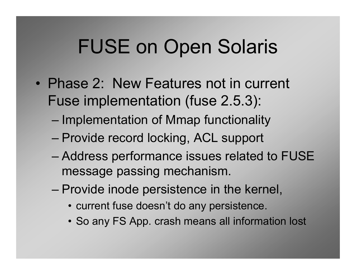# FUSE on Open Solaris

- Phase 2: New Features not in current Fuse implementation (fuse 2.5.3):
	- Implementation of Mmap functionality
	- Provide record locking, ACL support
	- Address performance issues related to FUSE message passing mechanism.
	- Provide inode persistence in the kernel,
		- current fuse doesn't do any persistence.
		- So any FS App. crash means all information lost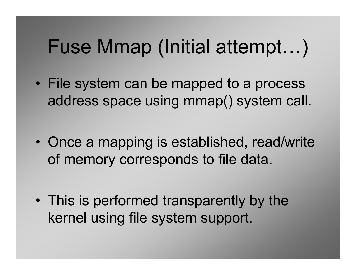#### Fuse Mmap (Initial attempt…)

- File system can be mapped to a process address space using mmap() system call.
- $\bullet$ Once a mapping is established, read/write of memory corresponds to file data.
- $\bullet$ This is performed transparently by the kernel using file system support.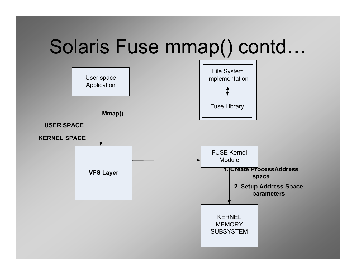# Solaris Fuse mmap() contd…

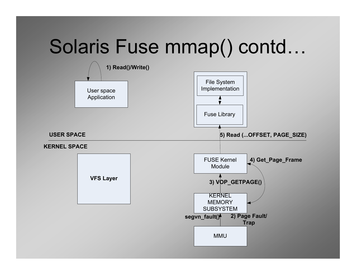# Solaris Fuse mmap() contd…

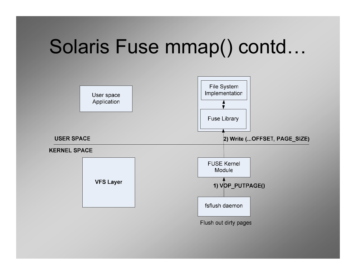# Solaris Fuse mmap() contd…

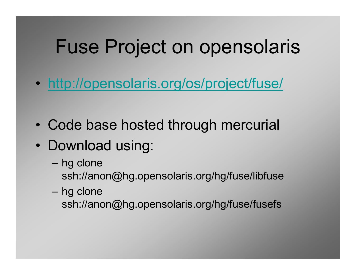## Fuse Project on opensolaris

- $\bullet$ http://opensolaris.org/os/project/fuse/
- $\bullet$ Code base hosted through mercurial
- Download using:
	- –hg clone ssh://anon@hg.opensolaris.org/hg/fuse/libfuse
	- hg clone ssh://anon@hg.opensolaris.org/hg/fuse/fusefs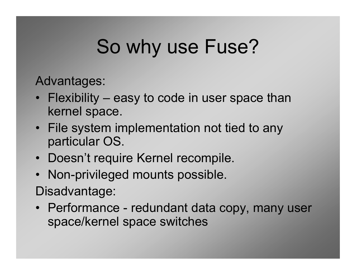# So why use Fuse?

Advantages:

- Flexibility easy to code in user space than<br>kernel space kernel space.
- File system implementation not tied to any<br>eartiqular OS particular OS.
- Doesn't require Kernel recompile.<br>————————————————————
- Non-privileged mounts possible.<br>Pi Disadvantage:
- Performance redundant data copy, many user<br>space/kernel.space.switches space/kernel space switches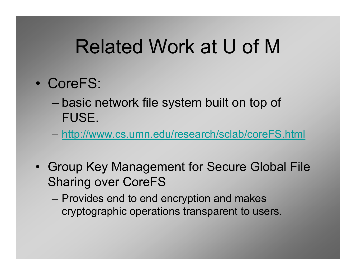# Related Work at U of M

- $\bullet$  CoreFS:
	- basic network file system built on top of FUSE.
	- http://www.cs.umn.edu/research/sclab/coreFS.html
- Group Key Management for Secure Global File Sharing over CoreFS
	- Provides end to end encryption and makes cryptographic operations transparent to users.